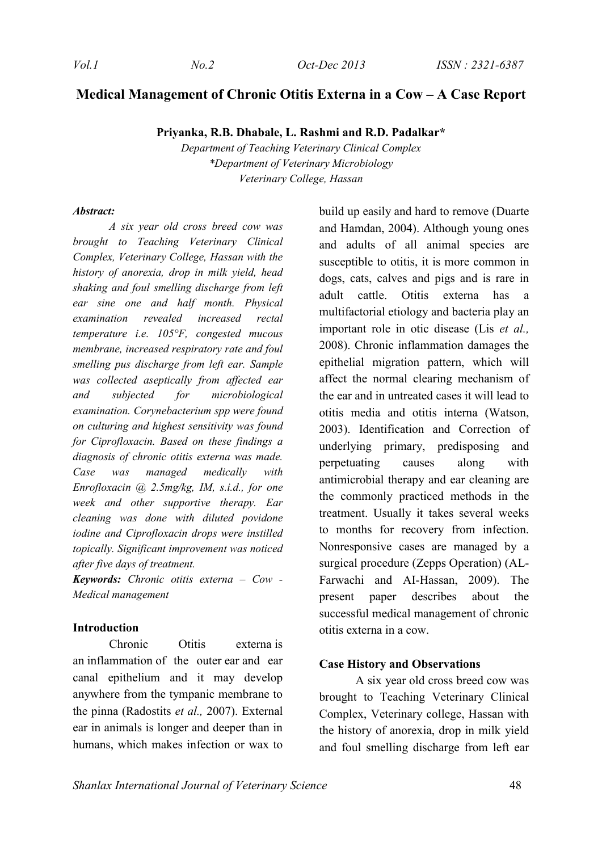# **Medical Management of Chronic Otitis Externa in a Cow – A Case Report**

**Priyanka, R.B. Dhabale, L. Rashmi and R.D. Padalkar\***

*Department of Teaching Veterinary Clinical Complex \*Department of Veterinary Microbiology Veterinary College, Hassan*

#### *Abstract:*

*A six year old cross breed cow was brought to Teaching Veterinary Clinical Complex, Veterinary College, Hassan with the history of anorexia, drop in milk yield, head shaking and foul smelling discharge from left ear sine one and half month. Physical examination revealed increased rectal temperature i.e. 105°F, congested mucous membrane, increased respiratory rate and foul smelling pus discharge from left ear. Sample was collected aseptically from affected ear and subjected for microbiological examination. Corynebacterium spp were found on culturing and highest sensitivity was found for Ciprofloxacin. Based on these findings a diagnosis of chronic otitis externa was made. Case was managed medically with Enrofloxacin @ 2.5mg/kg, IM, s.i.d., for one week and other supportive therapy. Ear cleaning was done with diluted povidone iodine and Ciprofloxacin drops were instilled topically. Significant improvement was noticed after five days of treatment.* 

*Keywords: Chronic otitis externa – Cow - Medical management* 

#### **Introduction**

Chronic Otitis externa is an inflammation of the outer ear and ear canal epithelium and it may develop anywhere from the tympanic membrane to the pinna (Radostits *et al.,* 2007). External ear in animals is longer and deeper than in humans, which makes infection or wax to build up easily and hard to remove (Duarte and Hamdan, 2004). Although young ones and adults of all animal species are susceptible to otitis, it is more common in dogs, cats, calves and pigs and is rare in adult cattle. Otitis externa has a multifactorial etiology and bacteria play an important role in otic disease (Lis *et al.,* 2008). Chronic inflammation damages the epithelial migration pattern, which will affect the normal clearing mechanism of the ear and in untreated cases it will lead to otitis media and otitis interna (Watson, 2003). Identification and Correction of underlying primary, predisposing and perpetuating causes along with antimicrobial therapy and ear cleaning are the commonly practiced methods in the treatment. Usually it takes several weeks to months for recovery from infection. Nonresponsive cases are managed by a surgical procedure (Zepps Operation) (AL-Farwachi and AI-Hassan, 2009). The present paper describes about the successful medical management of chronic otitis externa in a cow.

### **Case History and Observations**

A six year old cross breed cow was brought to Teaching Veterinary Clinical Complex, Veterinary college, Hassan with the history of anorexia, drop in milk yield and foul smelling discharge from left ear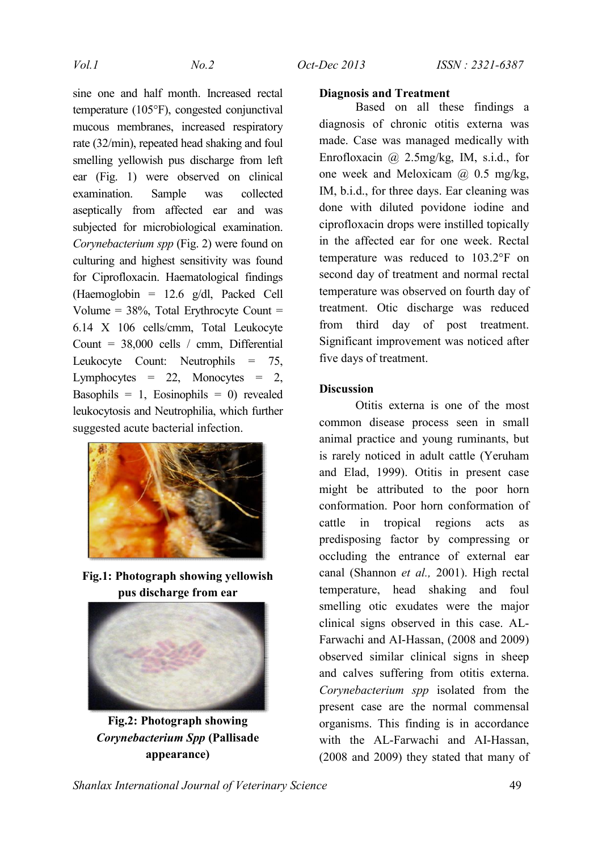sine one and half month. Increased rectal temperature (105°F), congested conjunctival mucous membranes, increased respiratory rate (32/min), repeated head shaking and foul smelling yellowish pus discharge from left ear (Fig. 1) were observed on clinical examination. Sample was collected aseptically from affected ear and was subjected for microbiological examination. *Corynebacterium spp* (Fig. 2) were found on culturing and highest sensitivity was found for Ciprofloxacin. Haematological findings (Haemoglobin = 12.6 g/dl, Packed Cell Volume =  $38\%$ , Total Erythrocyte Count = 6.14 X 106 cells/cmm, Total Leukocyte Count = 38,000 cells / cmm, Differential Leukocyte Count: Neutrophils = 75, Lymphocytes  $= 22$ , Monocytes  $= 2$ , Basophils = 1, Eosinophils = 0) revealed leukocytosis and Neutrophilia, which further suggested acute bacterial infection.



**Fig.1: Photograph showing yellowish pus discharge from ear**



**Fig.2: Photograph showing**  *Corynebacterium Spp* **(Pallisade appearance)**

### **Diagnosis and Treatment**

Based on all these findings a diagnosis of chronic otitis externa was made. Case was managed medically with Enrofloxacin @ 2.5mg/kg, IM, s.i.d., for one week and Meloxicam  $(a)$  0.5 mg/kg, IM, b.i.d., for three days. Ear cleaning was done with diluted povidone iodine and ciprofloxacin drops were instilled topically in the affected ear for one week. Rectal temperature was reduced to 103.2°F on second day of treatment and normal rectal temperature was observed on fourth day of treatment. Otic discharge was reduced from third day of post treatment. Significant improvement was noticed after five days of treatment.

## **Discussion**

Otitis externa is one of the most common disease process seen in small animal practice and young ruminants, but is rarely noticed in adult cattle (Yeruham and Elad, 1999). Otitis in present case might be attributed to the poor horn conformation. Poor horn conformation of cattle in tropical regions acts as predisposing factor by compressing or occluding the entrance of external ear canal (Shannon *et al.,* 2001). High rectal temperature, head shaking and foul smelling otic exudates were the major clinical signs observed in this case. AL-Farwachi and AI-Hassan, (2008 and 2009) observed similar clinical signs in sheep and calves suffering from otitis externa. *Corynebacterium spp* isolated from the present case are the normal commensal organisms. This finding is in accordance with the AL-Farwachi and AI-Hassan, (2008 and 2009) they stated that many of